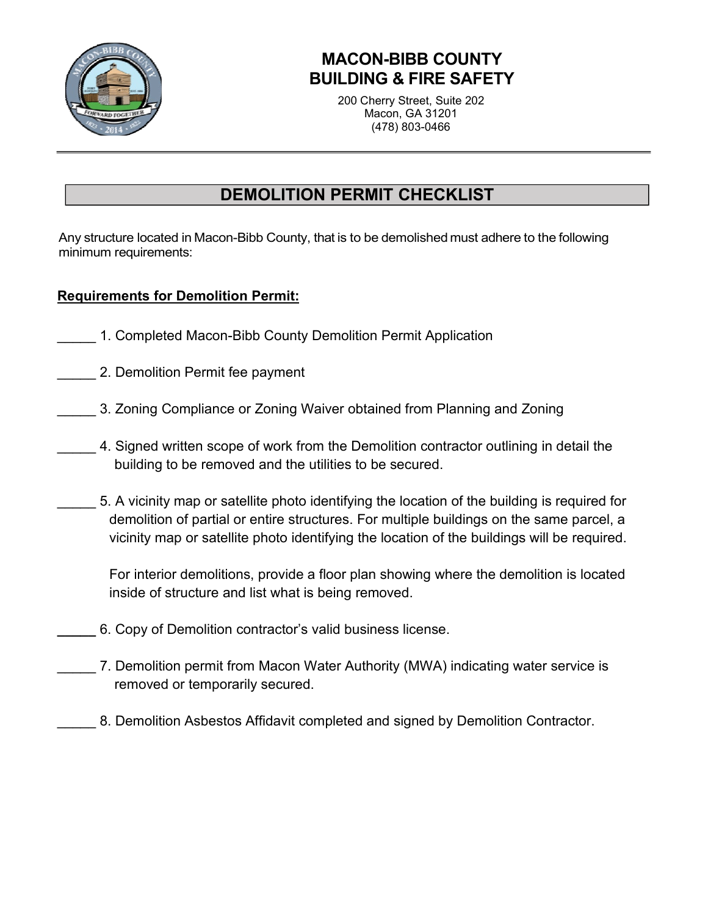

## **MACON-BIBB COUNTY BUILDING & FIRE SAFETY**

200 Cherry Street, Suite 202 Macon, GA 31201 (478) 803-0466

## **DEMOLITION PERMIT CHECKLIST**

Any structure located in Macon-Bibb County, that is to be demolished must adhere to the following minimum requirements:

#### **Requirements for Demolition Permit:**

- 1. Completed Macon-Bibb County Demolition Permit Application
- 2. Demolition Permit fee payment
- \_\_\_\_\_ 3. Zoning Compliance or Zoning Waiver obtained from Planning and Zoning
	- \_\_\_\_\_ 4. Signed written scope of work from the Demolition contractor outlining in detail the building to be removed and the utilities to be secured.
- 5. A vicinity map or satellite photo identifying the location of the building is required for demolition of partial or entire structures. For multiple buildings on the same parcel, a vicinity map or satellite photo identifying the location of the buildings will be required.

For interior demolitions, provide a floor plan showing where the demolition is located inside of structure and list what is being removed.

- **\_\_\_\_\_** 6. Copy of Demolition contractor's valid business license.
- \_\_\_\_\_ 7. Demolition permit from Macon Water Authority (MWA) indicating water service is removed or temporarily secured.
	- 8. Demolition Asbestos Affidavit completed and signed by Demolition Contractor.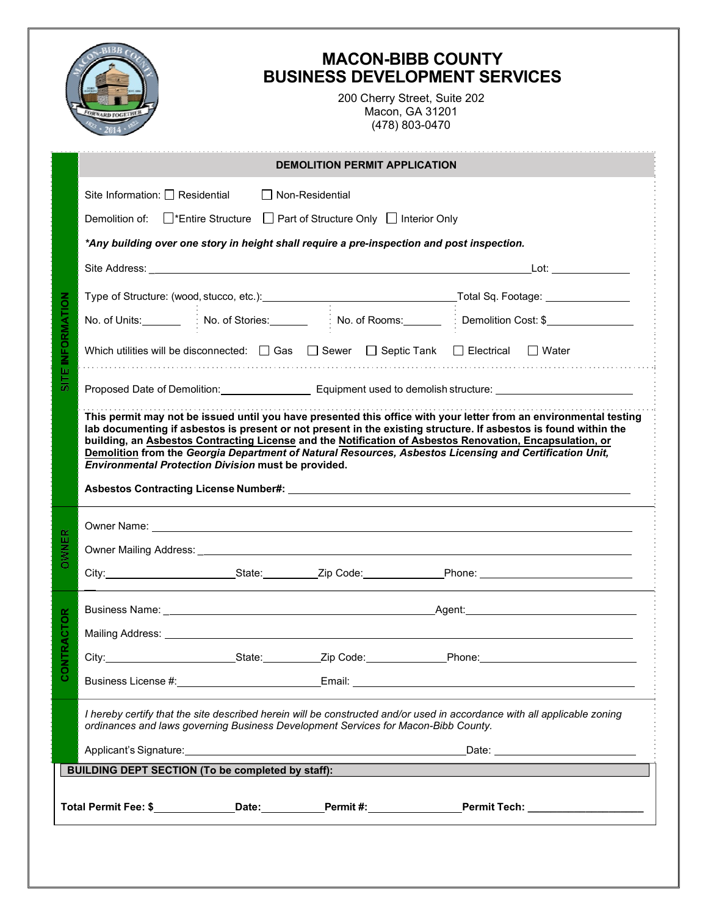|                                |                                                                                                                                                                                                                                                                                   |                        |  | (478) 803-0470 |  |                                    |  |
|--------------------------------|-----------------------------------------------------------------------------------------------------------------------------------------------------------------------------------------------------------------------------------------------------------------------------------|------------------------|--|----------------|--|------------------------------------|--|
|                                | <b>DEMOLITION PERMIT APPLICATION</b>                                                                                                                                                                                                                                              |                        |  |                |  |                                    |  |
|                                | Site Information: $\square$ Residential                                                                                                                                                                                                                                           | $\Box$ Non-Residential |  |                |  |                                    |  |
|                                | Demolition of: □*Entire Structure □ Part of Structure Only □ Interior Only                                                                                                                                                                                                        |                        |  |                |  |                                    |  |
|                                | *Any building over one story in height shall require a pre-inspection and post inspection.                                                                                                                                                                                        |                        |  |                |  |                                    |  |
|                                |                                                                                                                                                                                                                                                                                   |                        |  |                |  | <u>Lot:_______________</u>         |  |
|                                |                                                                                                                                                                                                                                                                                   |                        |  |                |  |                                    |  |
|                                | No. of Units: No. of Stories: No. of Stories: No. of Rooms: No. of Demolition Cost: \$                                                                                                                                                                                            |                        |  |                |  |                                    |  |
| SITE INFORMATION               | Which utilities will be disconnected: $\Box$ Gas $\Box$ Sewer $\Box$ Septic Tank $\Box$ Electrical $\Box$ Water                                                                                                                                                                   |                        |  |                |  |                                    |  |
|                                | Proposed Date of Demolition: Communication Communication Communication Communication Communication Communication                                                                                                                                                                  |                        |  |                |  |                                    |  |
|                                | building, an Asbestos Contracting License and the Notification of Asbestos Renovation, Encapsulation, or<br>Demolition from the Georgia Department of Natural Resources, Asbestos Licensing and Certification Unit,<br><b>Environmental Protection Division must be provided.</b> |                        |  |                |  |                                    |  |
|                                |                                                                                                                                                                                                                                                                                   |                        |  |                |  |                                    |  |
| 뜺<br>$\overline{\vphantom{a}}$ | Owner Mailing Address: ____                                                                                                                                                                                                                                                       |                        |  |                |  |                                    |  |
| δŇ                             |                                                                                                                                                                                                                                                                                   |                        |  |                |  |                                    |  |
|                                |                                                                                                                                                                                                                                                                                   |                        |  |                |  |                                    |  |
|                                | Mailing Address: Universe and Address and Address and Address and Address and Address and Address and Address                                                                                                                                                                     |                        |  |                |  |                                    |  |
| <b>CONTRACTOR</b>              |                                                                                                                                                                                                                                                                                   |                        |  |                |  |                                    |  |
|                                | Business License #: <u>contract and a series and Email:</u> Contract and Theorem and Theorem 2014 and 2014 and 2014 and                                                                                                                                                           |                        |  |                |  |                                    |  |
|                                | I hereby certify that the site described herein will be constructed and/or used in accordance with all applicable zoning<br>ordinances and laws governing Business Development Services for Macon-Bibb County.                                                                    |                        |  |                |  |                                    |  |
|                                |                                                                                                                                                                                                                                                                                   |                        |  |                |  | Date: ____________________________ |  |
|                                | BUILDING DEPT SECTION (To be completed by staff):                                                                                                                                                                                                                                 |                        |  |                |  |                                    |  |
|                                | Total Permit Fee: \$ _____________Date:___________Permit #:______________Permit Tech: _______________                                                                                                                                                                             |                        |  |                |  |                                    |  |